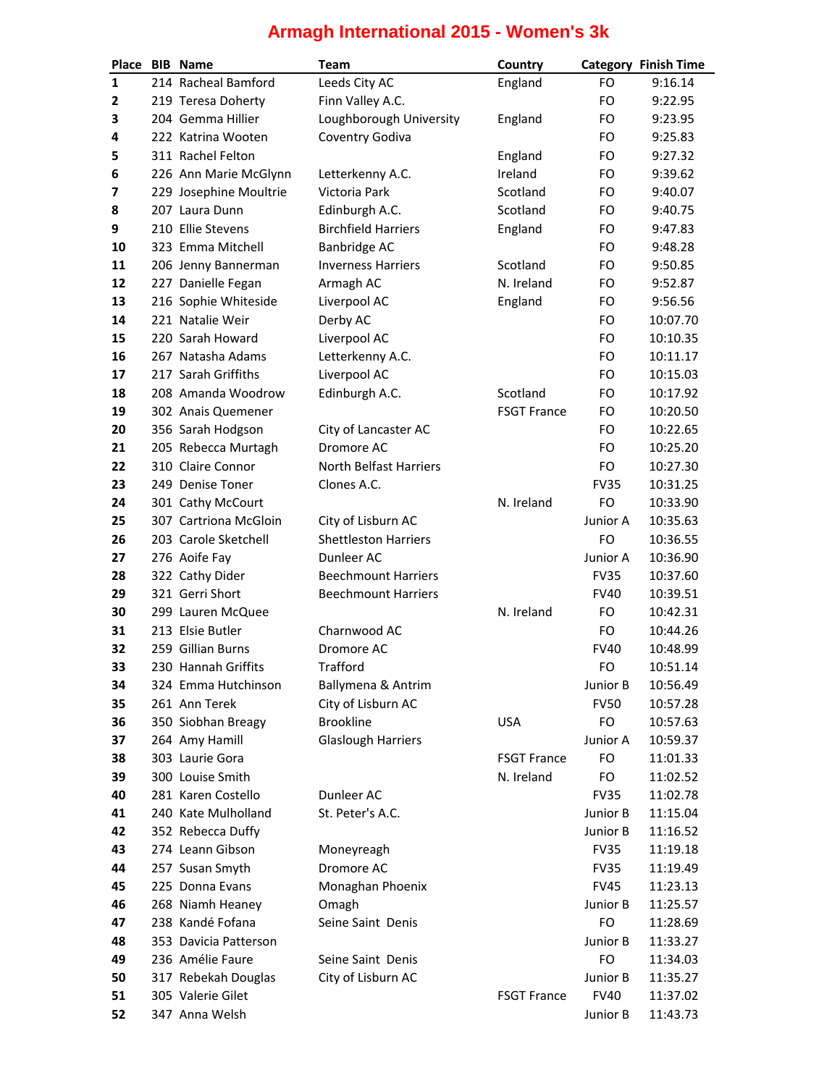## **Armagh International 2015 - Women's 3k**

|                | Place BIB Name         | <b>Team</b>                 | Country            |             | <b>Category Finish Time</b> |
|----------------|------------------------|-----------------------------|--------------------|-------------|-----------------------------|
| $\mathbf{1}$   | 214 Racheal Bamford    | Leeds City AC               | England            | FO          | 9:16.14                     |
| $\overline{2}$ | 219 Teresa Doherty     | Finn Valley A.C.            |                    | FO          | 9:22.95                     |
| 3              | 204 Gemma Hillier      | Loughborough University     | England            | FO          | 9:23.95                     |
| 4              | 222 Katrina Wooten     | Coventry Godiva             |                    | FO          | 9:25.83                     |
| 5              | 311 Rachel Felton      |                             | England            | FO          | 9:27.32                     |
| 6              | 226 Ann Marie McGlynn  | Letterkenny A.C.            | Ireland            | FO          | 9:39.62                     |
| 7              | 229 Josephine Moultrie | Victoria Park               | Scotland           | FO          | 9:40.07                     |
| 8              | 207 Laura Dunn         | Edinburgh A.C.              | Scotland           | FO          | 9:40.75                     |
| 9              | 210 Ellie Stevens      | <b>Birchfield Harriers</b>  | England            | FO          | 9:47.83                     |
| 10             | 323 Emma Mitchell      | Banbridge AC                |                    | FO.         | 9:48.28                     |
| 11             | 206 Jenny Bannerman    | <b>Inverness Harriers</b>   | Scotland           | FO          | 9:50.85                     |
| 12             | 227 Danielle Fegan     | Armagh AC                   | N. Ireland         | FO          | 9:52.87                     |
| 13             | 216 Sophie Whiteside   | Liverpool AC                | England            | FO          | 9:56.56                     |
| 14             | 221 Natalie Weir       | Derby AC                    |                    | FO          | 10:07.70                    |
| 15             | 220 Sarah Howard       | Liverpool AC                |                    | FO          | 10:10.35                    |
| 16             | 267 Natasha Adams      | Letterkenny A.C.            |                    | FO          | 10:11.17                    |
| 17             | 217 Sarah Griffiths    | Liverpool AC                |                    | FO          | 10:15.03                    |
| 18             | 208 Amanda Woodrow     | Edinburgh A.C.              | Scotland           | FO          | 10:17.92                    |
| 19             | 302 Anais Quemener     |                             | <b>FSGT France</b> | FO          | 10:20.50                    |
| 20             | 356 Sarah Hodgson      | City of Lancaster AC        |                    | FO          | 10:22.65                    |
| 21             | 205 Rebecca Murtagh    | Dromore AC                  |                    | FO          | 10:25.20                    |
| 22             | 310 Claire Connor      | North Belfast Harriers      |                    | FO          | 10:27.30                    |
| 23             | 249 Denise Toner       | Clones A.C.                 |                    | <b>FV35</b> | 10:31.25                    |
| 24             | 301 Cathy McCourt      |                             | N. Ireland         | FO          | 10:33.90                    |
| 25             | 307 Cartriona McGloin  | City of Lisburn AC          |                    | Junior A    | 10:35.63                    |
| 26             | 203 Carole Sketchell   | <b>Shettleston Harriers</b> |                    | FO          | 10:36.55                    |
| 27             | 276 Aoife Fay          | Dunleer AC                  |                    | Junior A    | 10:36.90                    |
| 28             | 322 Cathy Dider        | <b>Beechmount Harriers</b>  |                    | <b>FV35</b> | 10:37.60                    |
| 29             | 321 Gerri Short        | <b>Beechmount Harriers</b>  |                    | <b>FV40</b> | 10:39.51                    |
| 30             | 299 Lauren McQuee      |                             | N. Ireland         | FO          | 10:42.31                    |
| 31             | 213 Elsie Butler       | Charnwood AC                |                    | FO          | 10:44.26                    |
| 32             | 259 Gillian Burns      | Dromore AC                  |                    | <b>FV40</b> | 10:48.99                    |
| 33             | 230 Hannah Griffits    | <b>Trafford</b>             |                    | FO          | 10:51.14                    |
| 34             | 324 Emma Hutchinson    | Ballymena & Antrim          |                    | Junior B    | 10:56.49                    |
| 35             | 261 Ann Terek          | City of Lisburn AC          |                    | <b>FV50</b> | 10:57.28                    |
| 36             | 350 Siobhan Breagy     | <b>Brookline</b>            | <b>USA</b>         | FO          | 10:57.63                    |
| 37             | 264 Amy Hamill         | <b>Glaslough Harriers</b>   |                    | Junior A    | 10:59.37                    |
| 38             | 303 Laurie Gora        |                             | <b>FSGT France</b> | FO          | 11:01.33                    |
| 39             | 300 Louise Smith       |                             | N. Ireland         | FO          | 11:02.52                    |
| 40             | 281 Karen Costello     | Dunleer AC                  |                    | <b>FV35</b> | 11:02.78                    |
| 41             | 240 Kate Mulholland    | St. Peter's A.C.            |                    | Junior B    | 11:15.04                    |
| 42             | 352 Rebecca Duffy      |                             |                    | Junior B    | 11:16.52                    |
| 43             | 274 Leann Gibson       | Moneyreagh                  |                    | <b>FV35</b> | 11:19.18                    |
| 44             | 257 Susan Smyth        | Dromore AC                  |                    | <b>FV35</b> | 11:19.49                    |
| 45             | 225 Donna Evans        | Monaghan Phoenix            |                    | <b>FV45</b> | 11:23.13                    |
| 46             | 268 Niamh Heaney       | Omagh                       |                    | Junior B    | 11:25.57                    |
| 47             | 238 Kandé Fofana       | Seine Saint Denis           |                    | FO          | 11:28.69                    |
| 48             | 353 Davicia Patterson  |                             |                    | Junior B    | 11:33.27                    |
| 49             | 236 Amélie Faure       | Seine Saint Denis           |                    | FO          | 11:34.03                    |
| 50             | 317 Rebekah Douglas    | City of Lisburn AC          |                    | Junior B    | 11:35.27                    |
| 51             | 305 Valerie Gilet      |                             | <b>FSGT France</b> | <b>FV40</b> | 11:37.02                    |
| 52             | 347 Anna Welsh         |                             |                    | Junior B    | 11:43.73                    |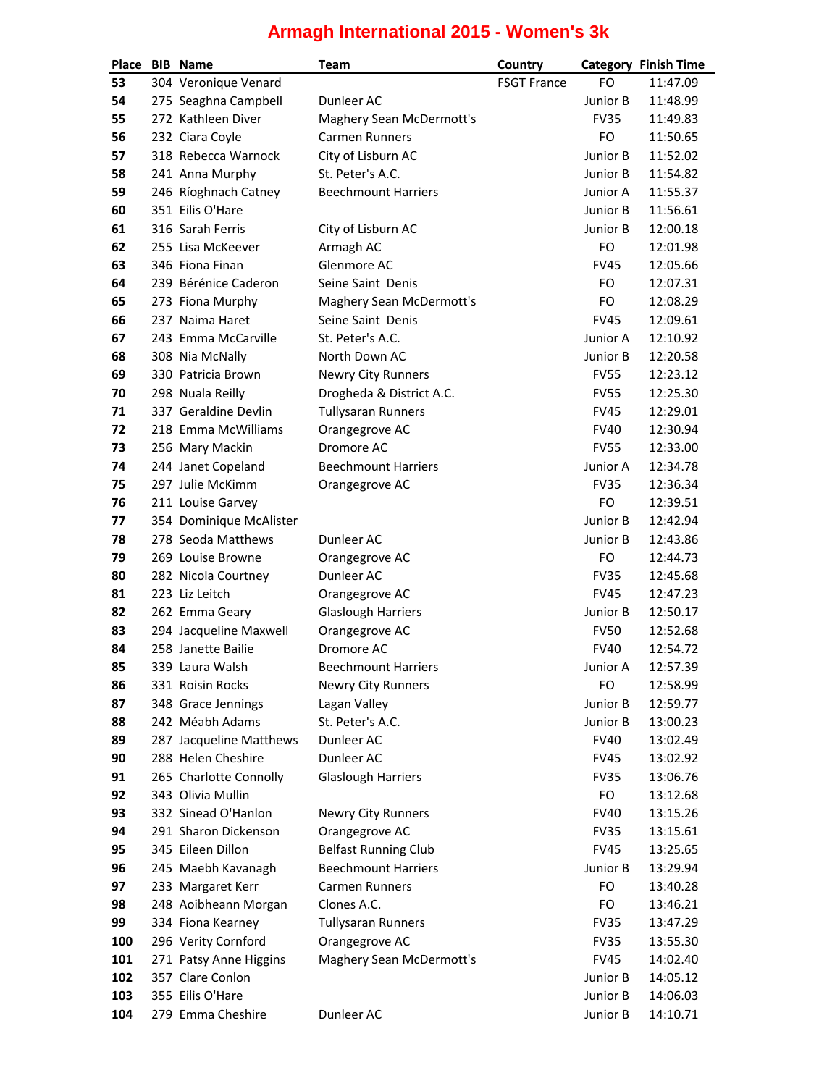## **Armagh International 2015 - Women's 3k**

| Place    | <b>BIB</b> Name                               | Team                                 | Country            |                            | <b>Category Finish Time</b> |
|----------|-----------------------------------------------|--------------------------------------|--------------------|----------------------------|-----------------------------|
| 53       | 304 Veronique Venard                          |                                      | <b>FSGT France</b> | FO                         | 11:47.09                    |
| 54       | 275 Seaghna Campbell                          | Dunleer AC                           |                    | Junior B                   | 11:48.99                    |
| 55       | 272 Kathleen Diver                            | Maghery Sean McDermott's             |                    | <b>FV35</b>                | 11:49.83                    |
| 56       | 232 Ciara Coyle                               | <b>Carmen Runners</b>                |                    | FO                         | 11:50.65                    |
| 57       | 318 Rebecca Warnock                           | City of Lisburn AC                   |                    | Junior B                   | 11:52.02                    |
| 58       | 241 Anna Murphy                               | St. Peter's A.C.                     |                    | Junior B                   | 11:54.82                    |
| 59       | 246 Ríoghnach Catney                          | <b>Beechmount Harriers</b>           |                    | Junior A                   | 11:55.37                    |
| 60       | 351 Eilis O'Hare                              |                                      |                    | Junior B                   | 11:56.61                    |
| 61       | 316 Sarah Ferris                              | City of Lisburn AC                   |                    | Junior B                   | 12:00.18                    |
| 62       | 255 Lisa McKeever                             | Armagh AC                            |                    | <b>FO</b>                  | 12:01.98                    |
| 63       | 346 Fiona Finan                               | Glenmore AC                          |                    | <b>FV45</b>                | 12:05.66                    |
| 64       | 239 Bérénice Caderon                          | Seine Saint Denis                    |                    | FO                         | 12:07.31                    |
| 65       | 273 Fiona Murphy                              | Maghery Sean McDermott's             |                    | FO                         | 12:08.29                    |
| 66       | 237 Naima Haret                               | Seine Saint Denis                    |                    | <b>FV45</b>                | 12:09.61                    |
| 67       | 243 Emma McCarville                           | St. Peter's A.C.                     |                    | Junior A                   | 12:10.92                    |
| 68       | 308 Nia McNally                               | North Down AC                        |                    | Junior B                   | 12:20.58                    |
| 69       | 330 Patricia Brown                            | <b>Newry City Runners</b>            |                    | <b>FV55</b>                | 12:23.12                    |
| 70       | 298 Nuala Reilly                              | Drogheda & District A.C.             |                    | <b>FV55</b>                | 12:25.30                    |
| 71       | 337 Geraldine Devlin                          | <b>Tullysaran Runners</b>            |                    | <b>FV45</b>                | 12:29.01                    |
| 72       | 218 Emma McWilliams                           | Orangegrove AC                       |                    | <b>FV40</b>                | 12:30.94                    |
| 73       | 256 Mary Mackin                               | Dromore AC                           |                    | <b>FV55</b>                | 12:33.00                    |
| 74       | 244 Janet Copeland                            | <b>Beechmount Harriers</b>           |                    | Junior A                   | 12:34.78                    |
| 75       | 297 Julie McKimm                              | Orangegrove AC                       |                    | <b>FV35</b>                | 12:36.34                    |
| 76       | 211 Louise Garvey                             |                                      |                    | FO                         | 12:39.51                    |
| 77       | 354 Dominique McAlister                       |                                      |                    | Junior B                   | 12:42.94                    |
| 78       | 278 Seoda Matthews                            | Dunleer AC                           |                    | Junior B                   | 12:43.86                    |
| 79       | 269 Louise Browne                             | Orangegrove AC                       |                    | FO                         | 12:44.73                    |
| 80       | 282 Nicola Courtney                           | Dunleer AC                           |                    | <b>FV35</b>                | 12:45.68                    |
| 81       | 223 Liz Leitch                                | Orangegrove AC                       |                    | <b>FV45</b>                | 12:47.23                    |
| 82       | 262 Emma Geary                                | <b>Glaslough Harriers</b>            |                    | Junior B                   | 12:50.17                    |
| 83       | 294 Jacqueline Maxwell                        | Orangegrove AC                       |                    | <b>FV50</b>                | 12:52.68                    |
| 84       | 258 Janette Bailie                            | Dromore AC                           |                    | <b>FV40</b>                | 12:54.72                    |
| 85       | 339 Laura Walsh                               | <b>Beechmount Harriers</b>           |                    | Junior A                   | 12:57.39                    |
| 86       | 331 Roisin Rocks                              | <b>Newry City Runners</b>            |                    | FO                         | 12:58.99                    |
| 87       | 348 Grace Jennings                            | Lagan Valley                         |                    | Junior B                   | 12:59.77                    |
| 88       | 242 Méabh Adams                               | St. Peter's A.C.                     |                    | Junior B                   | 13:00.23                    |
| 89       | 287 Jacqueline Matthews<br>288 Helen Cheshire | Dunleer AC<br>Dunleer AC             |                    | <b>FV40</b>                | 13:02.49                    |
| 90<br>91 | 265 Charlotte Connolly                        | <b>Glaslough Harriers</b>            |                    | <b>FV45</b><br><b>FV35</b> | 13:02.92<br>13:06.76        |
| 92       | 343 Olivia Mullin                             |                                      |                    | FO                         | 13:12.68                    |
| 93       | 332 Sinead O'Hanlon                           |                                      |                    | <b>FV40</b>                | 13:15.26                    |
| 94       | 291 Sharon Dickenson                          | Newry City Runners<br>Orangegrove AC |                    | <b>FV35</b>                | 13:15.61                    |
| 95       | 345 Eileen Dillon                             | <b>Belfast Running Club</b>          |                    | <b>FV45</b>                | 13:25.65                    |
| 96       | 245 Maebh Kavanagh                            | <b>Beechmount Harriers</b>           |                    | Junior B                   | 13:29.94                    |
| 97       | 233 Margaret Kerr                             | <b>Carmen Runners</b>                |                    | FO                         | 13:40.28                    |
| 98       | 248 Aoibheann Morgan                          | Clones A.C.                          |                    | FO                         | 13:46.21                    |
| 99       | 334 Fiona Kearney                             | <b>Tullysaran Runners</b>            |                    | <b>FV35</b>                | 13:47.29                    |
| 100      | 296 Verity Cornford                           | Orangegrove AC                       |                    | <b>FV35</b>                | 13:55.30                    |
| 101      | 271 Patsy Anne Higgins                        | Maghery Sean McDermott's             |                    | <b>FV45</b>                | 14:02.40                    |
| 102      | 357 Clare Conlon                              |                                      |                    | Junior B                   | 14:05.12                    |
| 103      | 355 Eilis O'Hare                              |                                      |                    | Junior B                   | 14:06.03                    |
| 104      | 279 Emma Cheshire                             | Dunleer AC                           |                    | Junior B                   | 14:10.71                    |
|          |                                               |                                      |                    |                            |                             |